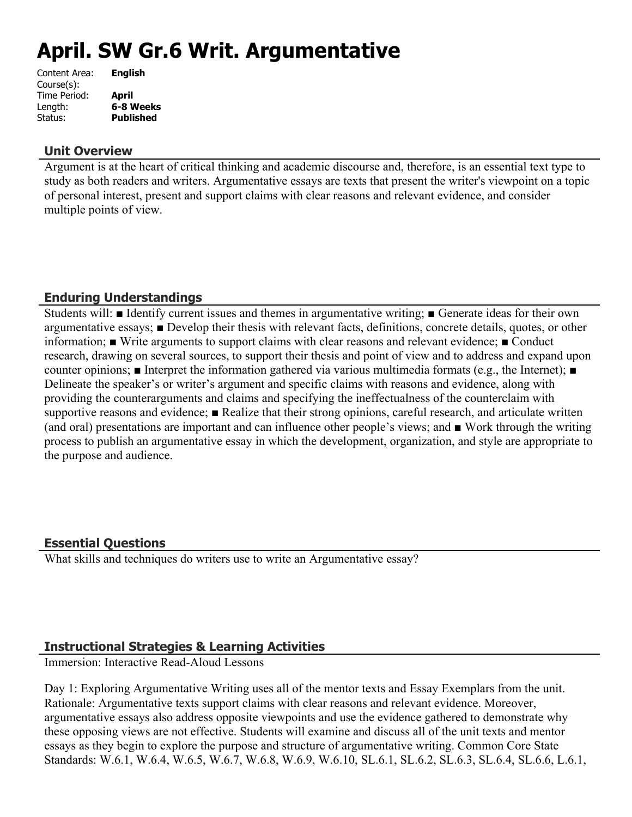# **April. SW Gr.6 Writ. Argumentative**

| Content Area: | <b>English</b>   |
|---------------|------------------|
| Course(s):    |                  |
| Time Period:  | <b>April</b>     |
| Length:       | 6-8 Weeks        |
| Status:       | <b>Published</b> |
|               |                  |

#### **Unit Overview**

Argument is at the heart of critical thinking and academic discourse and, therefore, is an essential text type to study as both readers and writers. Argumentative essays are texts that present the writer's viewpoint on a topic of personal interest, present and support claims with clear reasons and relevant evidence, and consider multiple points of view.

## **Enduring Understandings**

Students will: ■ Identify current issues and themes in argumentative writing; ■ Generate ideas for their own argumentative essays; ■ Develop their thesis with relevant facts, definitions, concrete details, quotes, or other information; ■ Write arguments to support claims with clear reasons and relevant evidence; ■ Conduct research, drawing on several sources, to support their thesis and point of view and to address and expand upon counter opinions; ■ Interpret the information gathered via various multimedia formats (e.g., the Internet); ■ Delineate the speaker's or writer's argument and specific claims with reasons and evidence, along with providing the counterarguments and claims and specifying the ineffectualness of the counterclaim with supportive reasons and evidence; **■** Realize that their strong opinions, careful research, and articulate written (and oral) presentations are important and can influence other people's views; and ■ Work through the writing process to publish an argumentative essay in which the development, organization, and style are appropriate to the purpose and audience.

#### **Essential Questions**

What skills and techniques do writers use to write an Argumentative essay?

## **Instructional Strategies & Learning Activities**

Immersion: Interactive Read-Aloud Lessons

Day 1: Exploring Argumentative Writing uses all of the mentor texts and Essay Exemplars from the unit. Rationale: Argumentative texts support claims with clear reasons and relevant evidence. Moreover, argumentative essays also address opposite viewpoints and use the evidence gathered to demonstrate why these opposing views are not effective. Students will examine and discuss all of the unit texts and mentor essays as they begin to explore the purpose and structure of argumentative writing. Common Core State Standards: W.6.1, W.6.4, W.6.5, W.6.7, W.6.8, W.6.9, W.6.10, SL.6.1, SL.6.2, SL.6.3, SL.6.4, SL.6.6, L.6.1,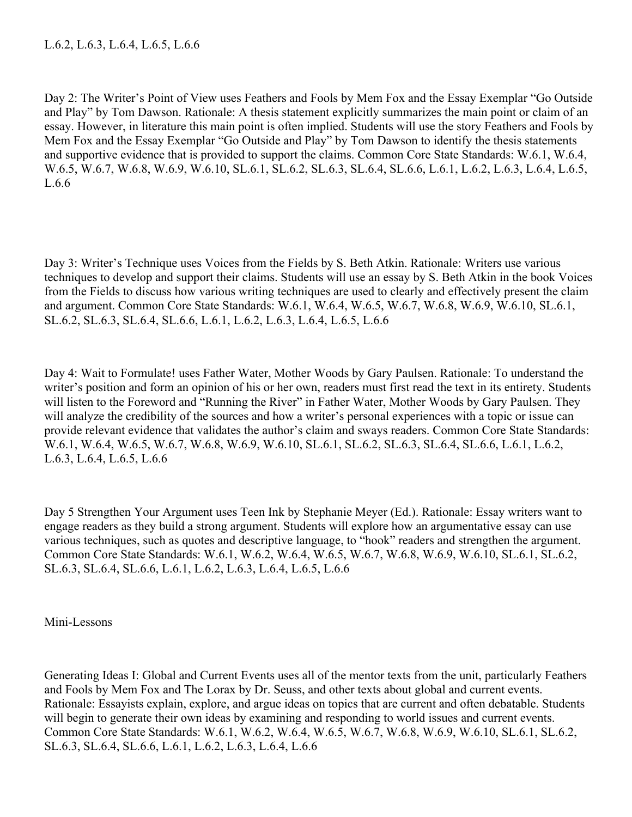Day 2: The Writer's Point of View uses Feathers and Fools by Mem Fox and the Essay Exemplar "Go Outside and Play" by Tom Dawson. Rationale: A thesis statement explicitly summarizes the main point or claim of an essay. However, in literature this main point is often implied. Students will use the story Feathers and Fools by Mem Fox and the Essay Exemplar "Go Outside and Play" by Tom Dawson to identify the thesis statements and supportive evidence that is provided to support the claims. Common Core State Standards: W.6.1, W.6.4, W.6.5, W.6.7, W.6.8, W.6.9, W.6.10, SL.6.1, SL.6.2, SL.6.3, SL.6.4, SL.6.6, L.6.1, L.6.2, L.6.3, L.6.4, L.6.5, L.6.6

Day 3: Writer's Technique uses Voices from the Fields by S. Beth Atkin. Rationale: Writers use various techniques to develop and support their claims. Students will use an essay by S. Beth Atkin in the book Voices from the Fields to discuss how various writing techniques are used to clearly and effectively present the claim and argument. Common Core State Standards: W.6.1, W.6.4, W.6.5, W.6.7, W.6.8, W.6.9, W.6.10, SL.6.1, SL.6.2, SL.6.3, SL.6.4, SL.6.6, L.6.1, L.6.2, L.6.3, L.6.4, L.6.5, L.6.6

Day 4: Wait to Formulate! uses Father Water, Mother Woods by Gary Paulsen. Rationale: To understand the writer's position and form an opinion of his or her own, readers must first read the text in its entirety. Students will listen to the Foreword and "Running the River" in Father Water, Mother Woods by Gary Paulsen. They will analyze the credibility of the sources and how a writer's personal experiences with a topic or issue can provide relevant evidence that validates the author's claim and sways readers. Common Core State Standards: W.6.1, W.6.4, W.6.5, W.6.7, W.6.8, W.6.9, W.6.10, SL.6.1, SL.6.2, SL.6.3, SL.6.4, SL.6.6, L.6.1, L.6.2, L.6.3, L.6.4, L.6.5, L.6.6

Day 5 Strengthen Your Argument uses Teen Ink by Stephanie Meyer (Ed.). Rationale: Essay writers want to engage readers as they build a strong argument. Students will explore how an argumentative essay can use various techniques, such as quotes and descriptive language, to "hook" readers and strengthen the argument. Common Core State Standards: W.6.1, W.6.2, W.6.4, W.6.5, W.6.7, W.6.8, W.6.9, W.6.10, SL.6.1, SL.6.2, SL.6.3, SL.6.4, SL.6.6, L.6.1, L.6.2, L.6.3, L.6.4, L.6.5, L.6.6

Mini-Lessons

Generating Ideas I: Global and Current Events uses all of the mentor texts from the unit, particularly Feathers and Fools by Mem Fox and The Lorax by Dr. Seuss, and other texts about global and current events. Rationale: Essayists explain, explore, and argue ideas on topics that are current and often debatable. Students will begin to generate their own ideas by examining and responding to world issues and current events. Common Core State Standards: W.6.1, W.6.2, W.6.4, W.6.5, W.6.7, W.6.8, W.6.9, W.6.10, SL.6.1, SL.6.2, SL.6.3, SL.6.4, SL.6.6, L.6.1, L.6.2, L.6.3, L.6.4, L.6.6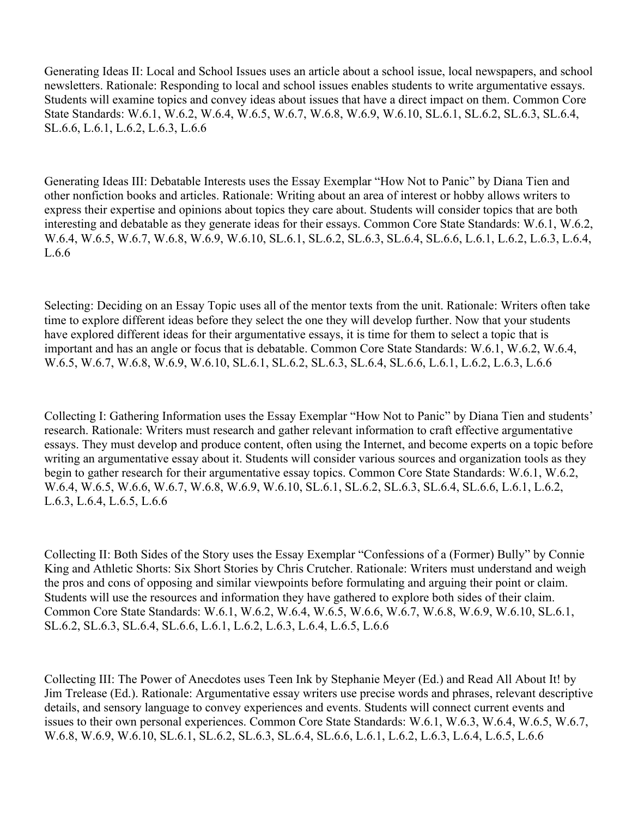Generating Ideas II: Local and School Issues uses an article about a school issue, local newspapers, and school newsletters. Rationale: Responding to local and school issues enables students to write argumentative essays. Students will examine topics and convey ideas about issues that have a direct impact on them. Common Core State Standards: W.6.1, W.6.2, W.6.4, W.6.5, W.6.7, W.6.8, W.6.9, W.6.10, SL.6.1, SL.6.2, SL.6.3, SL.6.4, SL.6.6, L.6.1, L.6.2, L.6.3, L.6.6

Generating Ideas III: Debatable Interests uses the Essay Exemplar "How Not to Panic" by Diana Tien and other nonfiction books and articles. Rationale: Writing about an area of interest or hobby allows writers to express their expertise and opinions about topics they care about. Students will consider topics that are both interesting and debatable as they generate ideas for their essays. Common Core State Standards: W.6.1, W.6.2, W.6.4, W.6.5, W.6.7, W.6.8, W.6.9, W.6.10, SL.6.1, SL.6.2, SL.6.3, SL.6.4, SL.6.6, L.6.1, L.6.2, L.6.3, L.6.4, L.6.6

Selecting: Deciding on an Essay Topic uses all of the mentor texts from the unit. Rationale: Writers often take time to explore different ideas before they select the one they will develop further. Now that your students have explored different ideas for their argumentative essays, it is time for them to select a topic that is important and has an angle or focus that is debatable. Common Core State Standards: W.6.1, W.6.2, W.6.4, W.6.5, W.6.7, W.6.8, W.6.9, W.6.10, SL.6.1, SL.6.2, SL.6.3, SL.6.4, SL.6.6, L.6.1, L.6.2, L.6.3, L.6.6

Collecting I: Gathering Information uses the Essay Exemplar "How Not to Panic" by Diana Tien and students' research. Rationale: Writers must research and gather relevant information to craft effective argumentative essays. They must develop and produce content, often using the Internet, and become experts on a topic before writing an argumentative essay about it. Students will consider various sources and organization tools as they begin to gather research for their argumentative essay topics. Common Core State Standards: W.6.1, W.6.2, W.6.4, W.6.5, W.6.6, W.6.7, W.6.8, W.6.9, W.6.10, SL.6.1, SL.6.2, SL.6.3, SL.6.4, SL.6.6, L.6.1, L.6.2, L.6.3, L.6.4, L.6.5, L.6.6

Collecting II: Both Sides of the Story uses the Essay Exemplar "Confessions of a (Former) Bully" by Connie King and Athletic Shorts: Six Short Stories by Chris Crutcher. Rationale: Writers must understand and weigh the pros and cons of opposing and similar viewpoints before formulating and arguing their point or claim. Students will use the resources and information they have gathered to explore both sides of their claim. Common Core State Standards: W.6.1, W.6.2, W.6.4, W.6.5, W.6.6, W.6.7, W.6.8, W.6.9, W.6.10, SL.6.1, SL.6.2, SL.6.3, SL.6.4, SL.6.6, L.6.1, L.6.2, L.6.3, L.6.4, L.6.5, L.6.6

Collecting III: The Power of Anecdotes uses Teen Ink by Stephanie Meyer (Ed.) and Read All About It! by Jim Trelease (Ed.). Rationale: Argumentative essay writers use precise words and phrases, relevant descriptive details, and sensory language to convey experiences and events. Students will connect current events and issues to their own personal experiences. Common Core State Standards: W.6.1, W.6.3, W.6.4, W.6.5, W.6.7, W.6.8, W.6.9, W.6.10, SL.6.1, SL.6.2, SL.6.3, SL.6.4, SL.6.6, L.6.1, L.6.2, L.6.3, L.6.4, L.6.5, L.6.6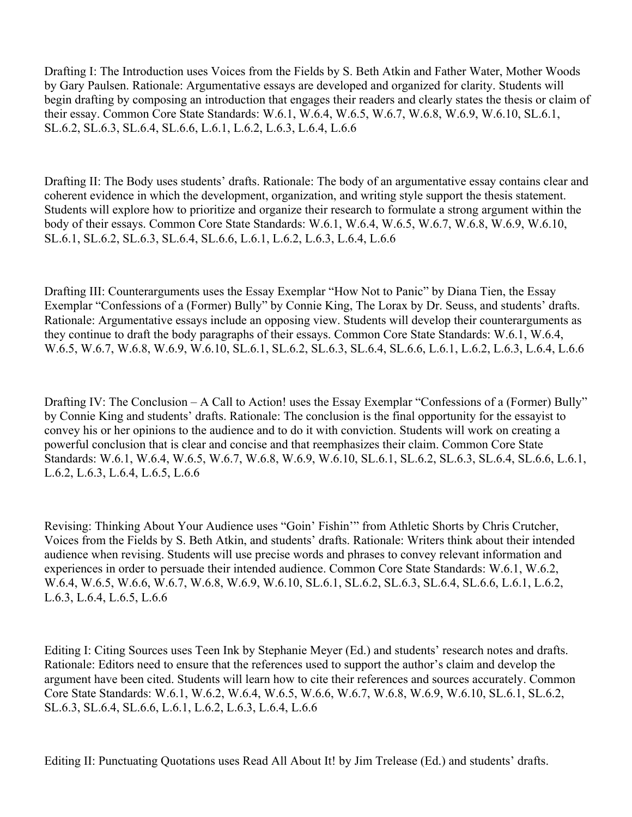Drafting I: The Introduction uses Voices from the Fields by S. Beth Atkin and Father Water, Mother Woods by Gary Paulsen. Rationale: Argumentative essays are developed and organized for clarity. Students will begin drafting by composing an introduction that engages their readers and clearly states the thesis or claim of their essay. Common Core State Standards: W.6.1, W.6.4, W.6.5, W.6.7, W.6.8, W.6.9, W.6.10, SL.6.1, SL.6.2, SL.6.3, SL.6.4, SL.6.6, L.6.1, L.6.2, L.6.3, L.6.4, L.6.6

Drafting II: The Body uses students' drafts. Rationale: The body of an argumentative essay contains clear and coherent evidence in which the development, organization, and writing style support the thesis statement. Students will explore how to prioritize and organize their research to formulate a strong argument within the body of their essays. Common Core State Standards: W.6.1, W.6.4, W.6.5, W.6.7, W.6.8, W.6.9, W.6.10, SL.6.1, SL.6.2, SL.6.3, SL.6.4, SL.6.6, L.6.1, L.6.2, L.6.3, L.6.4, L.6.6

Drafting III: Counterarguments uses the Essay Exemplar "How Not to Panic" by Diana Tien, the Essay Exemplar "Confessions of a (Former) Bully" by Connie King, The Lorax by Dr. Seuss, and students' drafts. Rationale: Argumentative essays include an opposing view. Students will develop their counterarguments as they continue to draft the body paragraphs of their essays. Common Core State Standards: W.6.1, W.6.4, W.6.5, W.6.7, W.6.8, W.6.9, W.6.10, SL.6.1, SL.6.2, SL.6.3, SL.6.4, SL.6.6, L.6.1, L.6.2, L.6.3, L.6.4, L.6.6

Drafting IV: The Conclusion – A Call to Action! uses the Essay Exemplar "Confessions of a (Former) Bully" by Connie King and students' drafts. Rationale: The conclusion is the final opportunity for the essayist to convey his or her opinions to the audience and to do it with conviction. Students will work on creating a powerful conclusion that is clear and concise and that reemphasizes their claim. Common Core State Standards: W.6.1, W.6.4, W.6.5, W.6.7, W.6.8, W.6.9, W.6.10, SL.6.1, SL.6.2, SL.6.3, SL.6.4, SL.6.6, L.6.1, L.6.2, L.6.3, L.6.4, L.6.5, L.6.6

Revising: Thinking About Your Audience uses "Goin' Fishin'" from Athletic Shorts by Chris Crutcher, Voices from the Fields by S. Beth Atkin, and students' drafts. Rationale: Writers think about their intended audience when revising. Students will use precise words and phrases to convey relevant information and experiences in order to persuade their intended audience. Common Core State Standards: W.6.1, W.6.2, W.6.4, W.6.5, W.6.6, W.6.7, W.6.8, W.6.9, W.6.10, SL.6.1, SL.6.2, SL.6.3, SL.6.4, SL.6.6, L.6.1, L.6.2, L.6.3, L.6.4, L.6.5, L.6.6

Editing I: Citing Sources uses Teen Ink by Stephanie Meyer (Ed.) and students' research notes and drafts. Rationale: Editors need to ensure that the references used to support the author's claim and develop the argument have been cited. Students will learn how to cite their references and sources accurately. Common Core State Standards: W.6.1, W.6.2, W.6.4, W.6.5, W.6.6, W.6.7, W.6.8, W.6.9, W.6.10, SL.6.1, SL.6.2, SL.6.3, SL.6.4, SL.6.6, L.6.1, L.6.2, L.6.3, L.6.4, L.6.6

Editing II: Punctuating Quotations uses Read All About It! by Jim Trelease (Ed.) and students' drafts.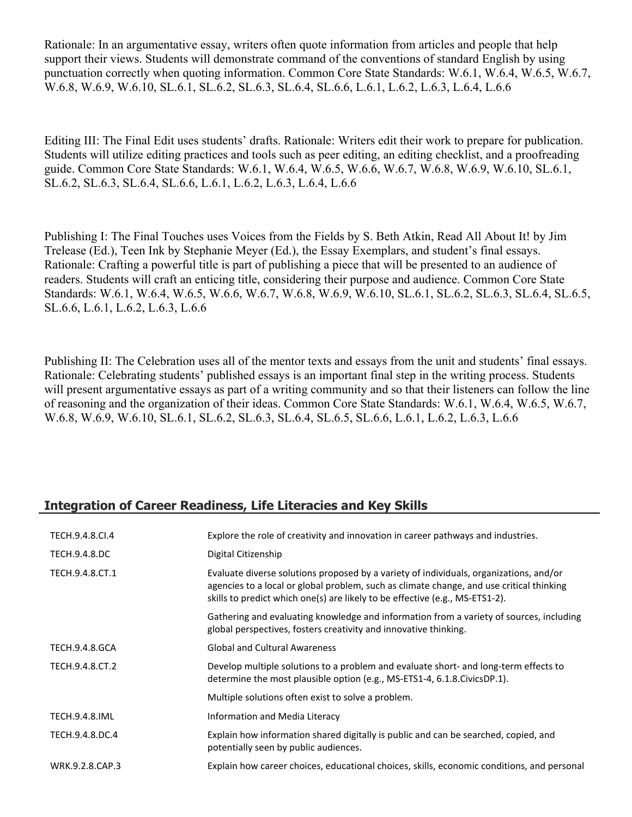Rationale: In an argumentative essay, writers often quote information from articles and people that help support their views. Students will demonstrate command of the conventions of standard English by using punctuation correctly when quoting information. Common Core State Standards: W.6.1, W.6.4, W.6.5, W.6.7, W.6.8, W.6.9, W.6.10, SL.6.1, SL.6.2, SL.6.3, SL.6.4, SL.6.6, L.6.1, L.6.2, L.6.3, L.6.4, L.6.6

Editing III: The Final Edit uses students' drafts. Rationale: Writers edit their work to prepare for publication. Students will utilize editing practices and tools such as peer editing, an editing checklist, and a proofreading guide. Common Core State Standards: W.6.1, W.6.4, W.6.5, W.6.6, W.6.7, W.6.8, W.6.9, W.6.10, SL.6.1, SL.6.2, SL.6.3, SL.6.4, SL.6.6, L.6.1, L.6.2, L.6.3, L.6.4, L.6.6

Publishing I: The Final Touches uses Voices from the Fields by S. Beth Atkin, Read All About It! by Jim Trelease (Ed.), Teen Ink by Stephanie Meyer (Ed.), the Essay Exemplars, and student's final essays. Rationale: Crafting a powerful title is part of publishing a piece that will be presented to an audience of readers. Students will craft an enticing title, considering their purpose and audience. Common Core State Standards: W.6.1, W.6.4, W.6.5, W.6.6, W.6.7, W.6.8, W.6.9, W.6.10, SL.6.1, SL.6.2, SL.6.3, SL.6.4, SL.6.5, SL.6.6, L.6.1, L.6.2, L.6.3, L.6.6

Publishing II: The Celebration uses all of the mentor texts and essays from the unit and students' final essays. Rationale: Celebrating students' published essays is an important final step in the writing process. Students will present argumentative essays as part of a writing community and so that their listeners can follow the line of reasoning and the organization of their ideas. Common Core State Standards: W.6.1, W.6.4, W.6.5, W.6.7, W.6.8, W.6.9, W.6.10, SL.6.1, SL.6.2, SL.6.3, SL.6.4, SL.6.5, SL.6.6, L.6.1, L.6.2, L.6.3, L.6.6

# **Integration of Career Readiness, Life Literacies and Key Skills**

| TECH.9.4.8.CI.4       | Explore the role of creativity and innovation in career pathways and industries.                                                                                                                                                                                   |
|-----------------------|--------------------------------------------------------------------------------------------------------------------------------------------------------------------------------------------------------------------------------------------------------------------|
| TECH.9.4.8.DC         | Digital Citizenship                                                                                                                                                                                                                                                |
| TECH.9.4.8.CT.1       | Evaluate diverse solutions proposed by a variety of individuals, organizations, and/or<br>agencies to a local or global problem, such as climate change, and use critical thinking<br>skills to predict which one(s) are likely to be effective (e.g., MS-ETS1-2). |
|                       | Gathering and evaluating knowledge and information from a variety of sources, including<br>global perspectives, fosters creativity and innovative thinking.                                                                                                        |
| <b>TECH.9.4.8.GCA</b> | <b>Global and Cultural Awareness</b>                                                                                                                                                                                                                               |
| TECH.9.4.8.CT.2       | Develop multiple solutions to a problem and evaluate short- and long-term effects to<br>determine the most plausible option (e.g., MS-ETS1-4, 6.1.8. Civics DP.1).                                                                                                 |
|                       | Multiple solutions often exist to solve a problem.                                                                                                                                                                                                                 |
| <b>TECH.9.4.8.IML</b> | Information and Media Literacy                                                                                                                                                                                                                                     |
| TECH.9.4.8.DC.4       | Explain how information shared digitally is public and can be searched, copied, and<br>potentially seen by public audiences.                                                                                                                                       |
| WRK.9.2.8.CAP.3       | Explain how career choices, educational choices, skills, economic conditions, and personal                                                                                                                                                                         |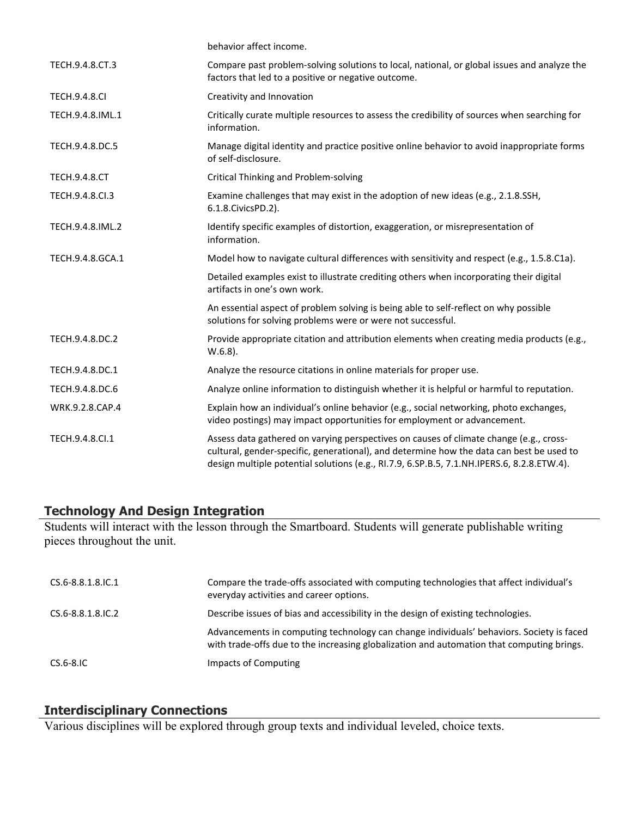|                      | behavior affect income.                                                                                                                                                                                                                                                          |
|----------------------|----------------------------------------------------------------------------------------------------------------------------------------------------------------------------------------------------------------------------------------------------------------------------------|
| TECH.9.4.8.CT.3      | Compare past problem-solving solutions to local, national, or global issues and analyze the<br>factors that led to a positive or negative outcome.                                                                                                                               |
| <b>TECH.9.4.8.CI</b> | Creativity and Innovation                                                                                                                                                                                                                                                        |
| TECH.9.4.8.IML.1     | Critically curate multiple resources to assess the credibility of sources when searching for<br>information.                                                                                                                                                                     |
| TECH.9.4.8.DC.5      | Manage digital identity and practice positive online behavior to avoid inappropriate forms<br>of self-disclosure.                                                                                                                                                                |
| <b>TECH.9.4.8.CT</b> | <b>Critical Thinking and Problem-solving</b>                                                                                                                                                                                                                                     |
| TECH.9.4.8.Cl.3      | Examine challenges that may exist in the adoption of new ideas (e.g., 2.1.8.SSH,<br>6.1.8. Civics PD. 2).                                                                                                                                                                        |
| TECH.9.4.8.IML.2     | Identify specific examples of distortion, exaggeration, or misrepresentation of<br>information.                                                                                                                                                                                  |
| TECH.9.4.8.GCA.1     | Model how to navigate cultural differences with sensitivity and respect (e.g., 1.5.8.C1a).                                                                                                                                                                                       |
|                      | Detailed examples exist to illustrate crediting others when incorporating their digital<br>artifacts in one's own work.                                                                                                                                                          |
|                      | An essential aspect of problem solving is being able to self-reflect on why possible<br>solutions for solving problems were or were not successful.                                                                                                                              |
| TECH.9.4.8.DC.2      | Provide appropriate citation and attribution elements when creating media products (e.g.,<br>$W.6.8$ ).                                                                                                                                                                          |
| TECH.9.4.8.DC.1      | Analyze the resource citations in online materials for proper use.                                                                                                                                                                                                               |
| TECH.9.4.8.DC.6      | Analyze online information to distinguish whether it is helpful or harmful to reputation.                                                                                                                                                                                        |
| WRK.9.2.8.CAP.4      | Explain how an individual's online behavior (e.g., social networking, photo exchanges,<br>video postings) may impact opportunities for employment or advancement.                                                                                                                |
| TECH.9.4.8.Cl.1      | Assess data gathered on varying perspectives on causes of climate change (e.g., cross-<br>cultural, gender-specific, generational), and determine how the data can best be used to<br>design multiple potential solutions (e.g., RI.7.9, 6.SP.B.5, 7.1.NH.IPERS.6, 8.2.8.ETW.4). |

#### **Technology And Design Integration**

Students will interact with the lesson through the Smartboard. Students will generate publishable writing pieces throughout the unit.

| CS.6-8.8.1.8.IC.1 | Compare the trade-offs associated with computing technologies that affect individual's<br>everyday activities and career options.                                                     |
|-------------------|---------------------------------------------------------------------------------------------------------------------------------------------------------------------------------------|
| CS.6-8.8.1.8.IC.2 | Describe issues of bias and accessibility in the design of existing technologies.                                                                                                     |
|                   | Advancements in computing technology can change individuals' behaviors. Society is faced<br>with trade-offs due to the increasing globalization and automation that computing brings. |
| $CS.6-8.1C$       | Impacts of Computing                                                                                                                                                                  |

## **Interdisciplinary Connections**

Various disciplines will be explored through group texts and individual leveled, choice texts.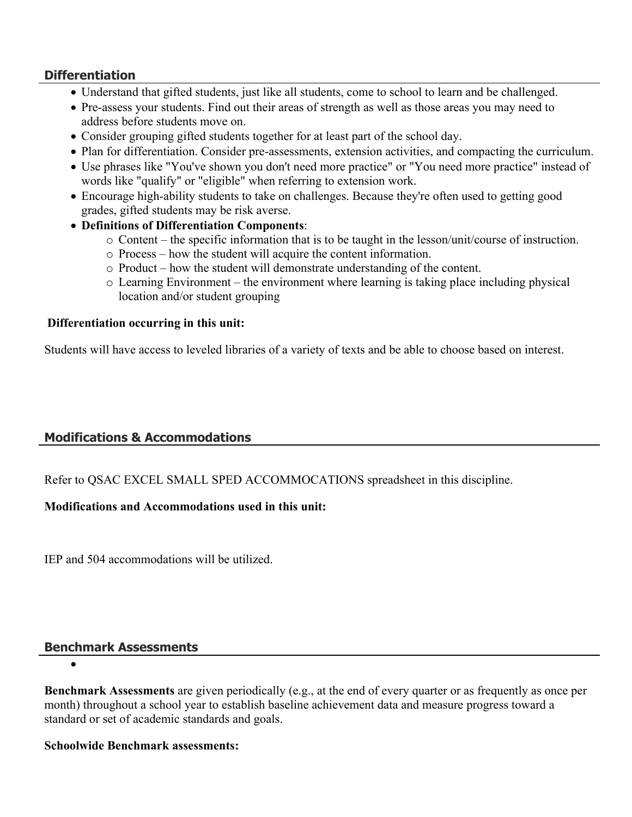## **Differentiation**

- Understand that gifted students, just like all students, come to school to learn and be challenged.
- Pre-assess your students. Find out their areas of strength as well as those areas you may need to address before students move on.
- Consider grouping gifted students together for at least part of the school day.
- Plan for differentiation. Consider pre-assessments, extension activities, and compacting the curriculum.
- Use phrases like "You've shown you don't need more practice" or "You need more practice" instead of words like "qualify" or "eligible" when referring to extension work.
- Encourage high-ability students to take on challenges. Because they're often used to getting good grades, gifted students may be risk averse.
- **Definitions of Differentiation Components**:
	- o Content the specific information that is to be taught in the lesson/unit/course of instruction.
	- o Process how the student will acquire the content information.
	- o Product how the student will demonstrate understanding of the content.
	- o Learning Environment the environment where learning is taking place including physical location and/or student grouping

#### **Differentiation occurring in this unit:**

Students will have access to leveled libraries of a variety of texts and be able to choose based on interest.

## **Modifications & Accommodations**

Refer to QSAC EXCEL SMALL SPED ACCOMMOCATIONS spreadsheet in this discipline.

#### **Modifications and Accommodations used in this unit:**

IEP and 504 accommodations will be utilized.

#### **Benchmark Assessments**

 $\bullet$ 

**Benchmark Assessments** are given periodically (e.g., at the end of every quarter or as frequently as once per month) throughout a school year to establish baseline achievement data and measure progress toward a standard or set of academic standards and goals.

#### **Schoolwide Benchmark assessments:**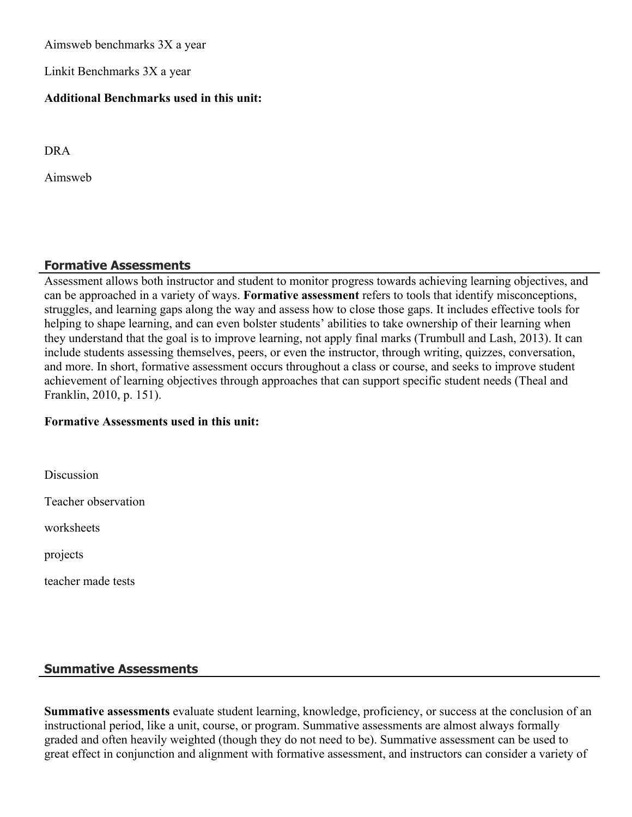Aimsweb benchmarks 3X a year

Linkit Benchmarks 3X a year

#### **Additional Benchmarks used in this unit:**

DRA

Aimsweb

## **Formative Assessments**

Assessment allows both instructor and student to monitor progress towards achieving learning objectives, and can be approached in a variety of ways. **Formative assessment** refers to tools that identify misconceptions, struggles, and learning gaps along the way and assess how to close those gaps. It includes effective tools for helping to shape learning, and can even bolster students' abilities to take ownership of their learning when they understand that the goal is to improve learning, not apply final marks (Trumbull and Lash, 2013). It can include students assessing themselves, peers, or even the instructor, through writing, quizzes, conversation, and more. In short, formative assessment occurs throughout a class or course, and seeks to improve student achievement of learning objectives through approaches that can support specific student needs (Theal and Franklin, 2010, p. 151).

#### **Formative Assessments used in this unit:**

**Discussion** 

Teacher observation

worksheets

projects

teacher made tests

#### **Summative Assessments**

**Summative assessments** evaluate student learning, knowledge, proficiency, or success at the conclusion of an instructional period, like a unit, course, or program. Summative assessments are almost always formally graded and often heavily weighted (though they do not need to be). Summative assessment can be used to great effect in conjunction and alignment with formative assessment, and instructors can consider a variety of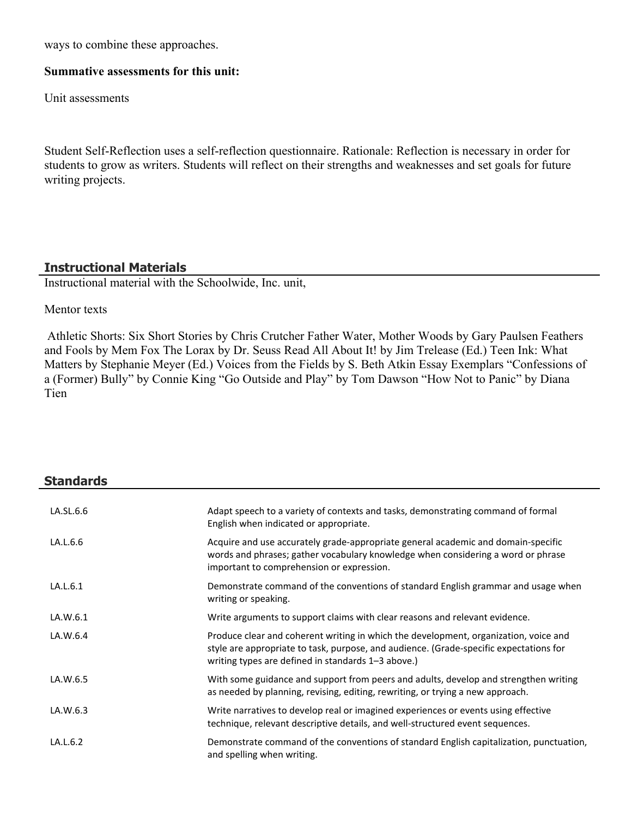ways to combine these approaches.

#### **Summative assessments for this unit:**

Unit assessments

Student Self-Reflection uses a self-reflection questionnaire. Rationale: Reflection is necessary in order for students to grow as writers. Students will reflect on their strengths and weaknesses and set goals for future writing projects.

## **Instructional Materials**

Instructional material with the Schoolwide, Inc. unit,

#### Mentor texts

 Athletic Shorts: Six Short Stories by Chris Crutcher Father Water, Mother Woods by Gary Paulsen Feathers and Fools by Mem Fox The Lorax by Dr. Seuss Read All About It! by Jim Trelease (Ed.) Teen Ink: What Matters by Stephanie Meyer (Ed.) Voices from the Fields by S. Beth Atkin Essay Exemplars "Confessions of a (Former) Bully" by Connie King "Go Outside and Play" by Tom Dawson "How Not to Panic" by Diana Tien

| <b>Standards</b> |                                                                                                                                                                                                                                      |
|------------------|--------------------------------------------------------------------------------------------------------------------------------------------------------------------------------------------------------------------------------------|
| LA.SL.6.6        | Adapt speech to a variety of contexts and tasks, demonstrating command of formal<br>English when indicated or appropriate.                                                                                                           |
| LA.L.6.6         | Acquire and use accurately grade-appropriate general academic and domain-specific<br>words and phrases; gather vocabulary knowledge when considering a word or phrase<br>important to comprehension or expression.                   |
| LA.L.6.1         | Demonstrate command of the conventions of standard English grammar and usage when<br>writing or speaking.                                                                                                                            |
| LA.W.6.1         | Write arguments to support claims with clear reasons and relevant evidence.                                                                                                                                                          |
| LA.W.6.4         | Produce clear and coherent writing in which the development, organization, voice and<br>style are appropriate to task, purpose, and audience. (Grade-specific expectations for<br>writing types are defined in standards 1-3 above.) |
| LA.W.6.5         | With some guidance and support from peers and adults, develop and strengthen writing<br>as needed by planning, revising, editing, rewriting, or trying a new approach.                                                               |
| LA.W.6.3         | Write narratives to develop real or imagined experiences or events using effective<br>technique, relevant descriptive details, and well-structured event sequences.                                                                  |
| LA.L.6.2         | Demonstrate command of the conventions of standard English capitalization, punctuation,<br>and spelling when writing.                                                                                                                |